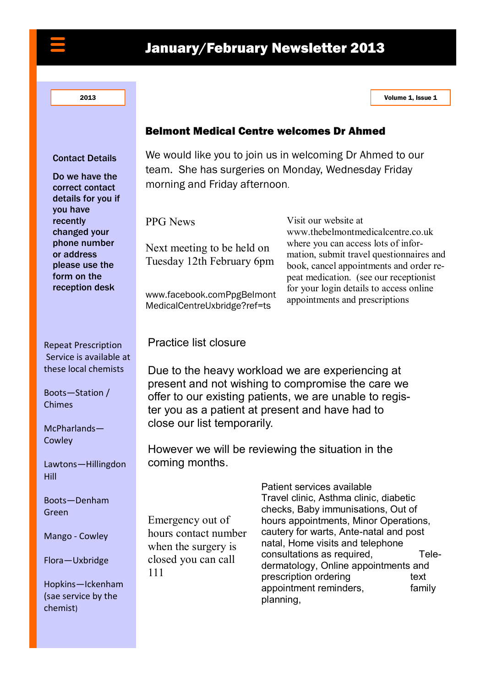#### **2013** Volume 1, Issue 1

# Contact Details

Do we have the correct contact details for you if you have recently changed your phone number or address please use the form on the reception desk

Repeat Prescription Service is available at these local chemists

Boots—Station / Chimes

McPharlands— **Cowley** 

Lawtons—Hillingdon Hill

Boots—Denham Green

Mango - Cowley

Flora—Uxbridge

Hopkins—Ickenham (sae service by the chemist)

# Belmont Medical Centre welcomes Dr Ahmed

We would like you to join us in welcoming Dr Ahmed to our team. She has surgeries on Monday, Wednesday Friday morning and Friday afternoon.

PPG News

Next meeting to be held on Tuesday 12th February 6pm

www.facebook.comPpgBelmont MedicalCentreUxbridge?ref=ts

Visit our website at www.thebelmontmedicalcentre.co.uk where you can access lots of information, submit travel questionnaires and book, cancel appointments and order repeat medication. (see our receptionist for your login details to access online appointments and prescriptions

Practice list closure

Due to the heavy workload we are experiencing at present and not wishing to compromise the care we offer to our existing patients, we are unable to register you as a patient at present and have had to close our list temporarily.

However we will be reviewing the situation in the coming months.

Emergency out of hours contact number when the surgery is closed you can call 111

Patient services available Travel clinic, Asthma clinic, diabetic checks, Baby immunisations, Out of hours appointments, Minor Operations, cautery for warts, Ante-natal and post natal, Home visits and telephone consultations as required, Teledermatology, Online appointments and prescription ordering text appointment reminders, family planning,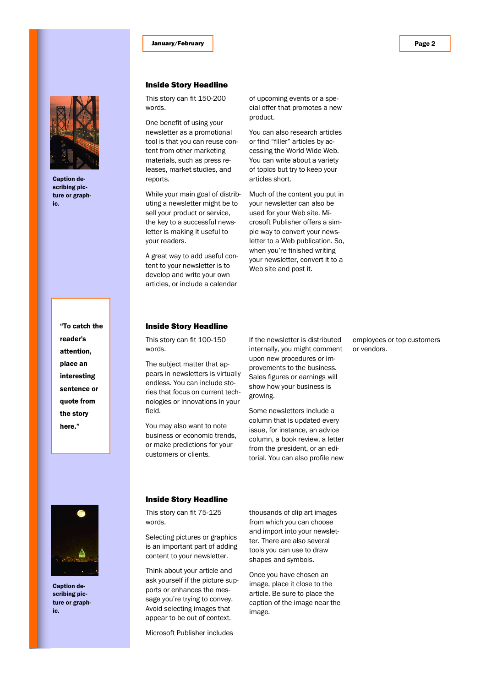Caption describing picture or graphic.

> "To catch the reader's attention, place an interesting sentence or quote from the story here."

## Inside Story Headline

This story can fit 150-200 words.

One benefit of using your newsletter as a promotional tool is that you can reuse content from other marketing materials, such as press releases, market studies, and reports.

While your main goal of distributing a newsletter might be to sell your product or service, the key to a successful newsletter is making it useful to your readers.

A great way to add useful content to your newsletter is to develop and write your own articles, or include a calendar

of upcoming events or a special offer that promotes a new product.

You can also research articles or find "filler" articles by accessing the World Wide Web. You can write about a variety of topics but try to keep your articles short.

Much of the content you put in your newsletter can also be used for your Web site. Microsoft Publisher offers a simple way to convert your newsletter to a Web publication. So, when you're finished writing your newsletter, convert it to a Web site and post it.

#### Inside Story Headline

This story can fit 100-150 words.

The subject matter that appears in newsletters is virtually endless. You can include stories that focus on current technologies or innovations in your field.

You may also want to note business or economic trends, or make predictions for your customers or clients.

If the newsletter is distributed internally, you might comment upon new procedures or improvements to the business. Sales figures or earnings will show how your business is growing.

Some newsletters include a column that is updated every issue, for instance, an advice column, a book review, a letter from the president, or an editorial. You can also profile new

employees or top customers or vendors.



Caption describing picture or graphic.

#### Inside Story Headline

This story can fit 75-125 words.

Selecting pictures or graphics is an important part of adding content to your newsletter.

Think about your article and ask yourself if the picture supports or enhances the message you're trying to convey. Avoid selecting images that appear to be out of context.

Microsoft Publisher includes

thousands of clip art images from which you can choose and import into your newsletter. There are also several tools you can use to draw shapes and symbols.

Once you have chosen an image, place it close to the article. Be sure to place the caption of the image near the image.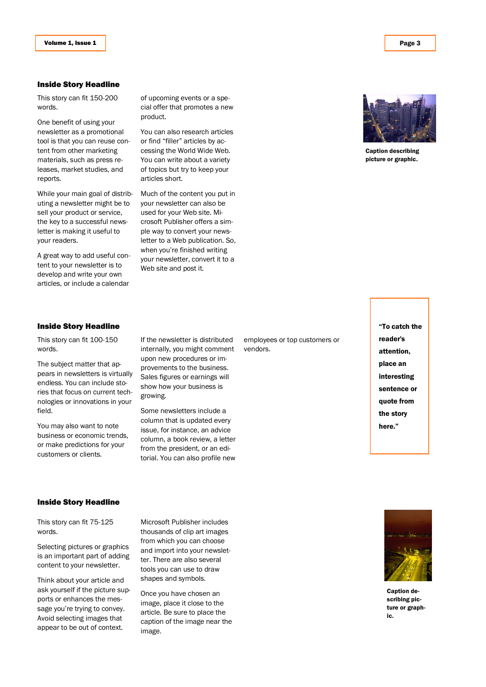## Inside Story Headline

This story can fit 150-200 words.

One benefit of using your newsletter as a promotional tool is that you can reuse content from other marketing materials, such as press releases, market studies, and reports.

While your main goal of distributing a newsletter might be to sell your product or service, the key to a successful newsletter is making it useful to your readers.

A great way to add useful content to your newsletter is to develop and write your own articles, or include a calendar

of upcoming events or a special offer that promotes a new product.

You can also research articles or find "filler" articles by accessing the World Wide Web. You can write about a variety of topics but try to keep your articles short.

Much of the content you put in your newsletter can also be used for your Web site. Microsoft Publisher offers a simple way to convert your newsletter to a Web publication. So, when you're finished writing your newsletter, convert it to a Web site and post it.

Caption describing picture or graphic.

#### Inside Story Headline

This story can fit 100-150 words.

The subject matter that appears in newsletters is virtually endless. You can include stories that focus on current technologies or innovations in your field.

You may also want to note business or economic trends, or make predictions for your customers or clients.

If the newsletter is distributed internally, you might comment upon new procedures or improvements to the business. Sales figures or earnings will show how your business is growing.

Some newsletters include a column that is updated every issue, for instance, an advice column, a book review, a letter from the president, or an editorial. You can also profile new

employees or top customers or vendors.

"To catch the reader's attention, place an interesting sentence or quote from the story here."

### Inside Story Headline

This story can fit 75-125 words.

Selecting pictures or graphics is an important part of adding content to your newsletter.

Think about your article and ask yourself if the picture supports or enhances the message you're trying to convey. Avoid selecting images that appear to be out of context.

Microsoft Publisher includes thousands of clip art images from which you can choose and import into your newsletter. There are also several tools you can use to draw shapes and symbols.

Once you have chosen an image, place it close to the article. Be sure to place the caption of the image near the image.



Caption describing picture or graphic.